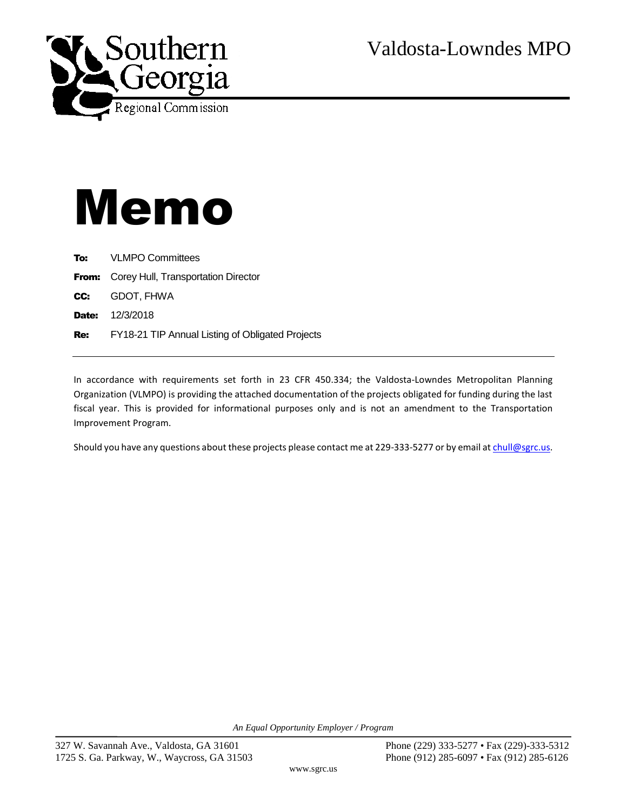

# Memo

| To: To | <b>VLMPO Committees</b>                                     |
|--------|-------------------------------------------------------------|
|        | From: Corey Hull, Transportation Director                   |
| CC:    | GDOT. FHWA                                                  |
|        | <b>Date:</b> $12/3/2018$                                    |
|        | <b>Re:</b> FY18-21 TIP Annual Listing of Obligated Projects |
|        |                                                             |

In accordance with requirements set forth in 23 CFR 450.334; the Valdosta-Lowndes Metropolitan Planning Organization (VLMPO) is providing the attached documentation of the projects obligated for funding during the last fiscal year. This is provided for informational purposes only and is not an amendment to the Transportation Improvement Program.

Should you have any questions about these projects please contact me at 229-333-5277 or by email a[t chull@sgrc.us.](mailto:chull@sgrc.us)

*An Equal Opportunity Employer / Program*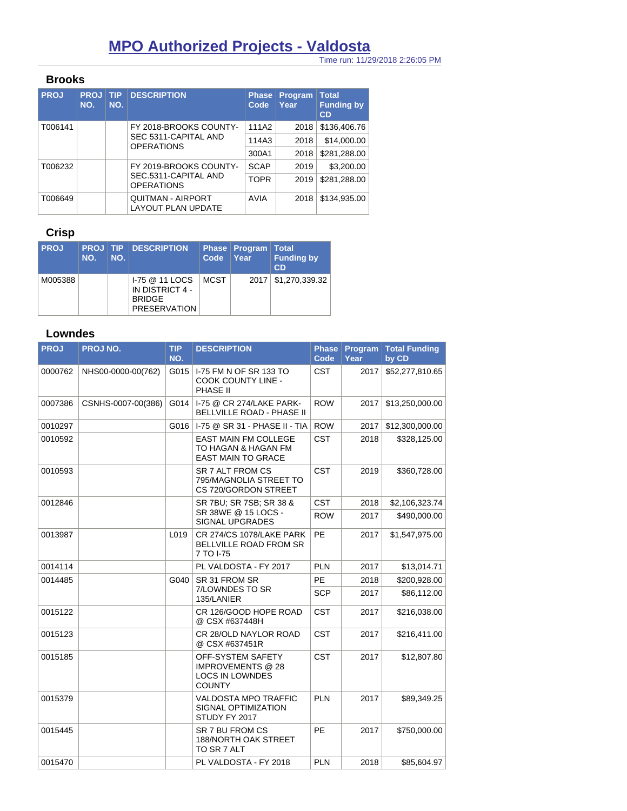# **MPO Authorized Projects - Valdosta**

Time run: 11/29/2018 2:26:05 PM

| × |
|---|
|---|

| <b>PROJ</b> | <b>PROJ</b><br>NO. | <b>TIP</b><br>NO. | <b>DESCRIPTION</b>                             | <b>Phase</b><br>Code | Program<br>Year | <b>Total</b><br><b>Funding by</b><br>CD |
|-------------|--------------------|-------------------|------------------------------------------------|----------------------|-----------------|-----------------------------------------|
| T006141     |                    |                   | FY 2018-BROOKS COUNTY-                         | 111A2                | 2018            | \$136,406.76                            |
|             |                    |                   | SEC 5311-CAPITAL AND<br><b>OPERATIONS</b>      | 114A3                | 2018            | \$14,000.00                             |
|             |                    |                   |                                                | 300A1                | 2018            | \$281,288.00                            |
| T006232     |                    |                   | FY 2019-BROOKS COUNTY-                         | <b>SCAP</b>          | 2019            | \$3,200.00                              |
|             |                    |                   | SEC.5311-CAPITAL AND<br><b>OPERATIONS</b>      | <b>TOPR</b>          | 2019            | \$281.288.00                            |
| T006649     |                    |                   | <b>QUITMAN - AIRPORT</b><br>LAYOUT PLAN UPDATE | <b>AVIA</b>          | 2018            | \$134.935.00                            |

## **Crisp**

| <b>PROJ</b> | NO. | NO. | <b>PROJ TIP DESCRIPTION</b>                                        | Code Year   | <b>Phase Program Total</b> | <b>Funding by</b><br>CD |
|-------------|-----|-----|--------------------------------------------------------------------|-------------|----------------------------|-------------------------|
| M005388     |     |     | I-75 @ 11 LOCS<br>IN DISTRICT 4 -<br><b>BRIDGE</b><br>PRESERVATION | <b>MCST</b> |                            | 2017   \$1,270,339.32   |

#### **Lowndes**

| <b>PROJ</b> | PROJ NO.           | <b>TIP</b><br>NO. | <b>DESCRIPTION</b>                                                                       | <b>Phase</b><br>Code | Program<br>Year | <b>Total Funding</b><br>by CD |
|-------------|--------------------|-------------------|------------------------------------------------------------------------------------------|----------------------|-----------------|-------------------------------|
| 0000762     | NHS00-0000-00(762) | G015              | 1-75 FM N OF SR 133 TO<br>COOK COUNTY LINE -<br>PHASE II                                 | <b>CST</b>           | 2017            | \$52,277,810.65               |
| 0007386     | CSNHS-0007-00(386) | G014              | 1-75 @ CR 274/LAKE PARK-<br><b>BELLVILLE ROAD - PHASE II</b>                             | <b>ROW</b>           | 2017            | \$13,250,000.00               |
| 0010297     |                    | G016              | 1-75 @ SR 31 - PHASE II - TIA                                                            | <b>ROW</b>           | 2017            | \$12,300,000.00               |
| 0010592     |                    |                   | <b>EAST MAIN FM COLLEGE</b><br>TO HAGAN & HAGAN FM<br><b>EAST MAIN TO GRACE</b>          | <b>CST</b>           | 2018            | \$328,125.00                  |
| 0010593     |                    |                   | SR 7 ALT FROM CS<br>795/MAGNOLIA STREET TO<br>CS 720/GORDON STREET                       | <b>CST</b>           | 2019            | \$360,728.00                  |
| 0012846     |                    |                   | SR 7BU; SR 7SB; SR 38 &                                                                  | <b>CST</b>           | 2018            | \$2,106,323.74                |
|             |                    |                   | SR 38WE @ 15 LOCS -<br><b>SIGNAL UPGRADES</b>                                            | <b>ROW</b>           | 2017            | \$490,000,00                  |
| 0013987     |                    | L019              | CR 274/CS 1078/LAKE PARK<br>BELLVILLE ROAD FROM SR<br>7 TO I-75                          | <b>PE</b>            | 2017            | \$1,547,975.00                |
| 0014114     |                    |                   | PL VALDOSTA - FY 2017                                                                    | <b>PLN</b>           | 2017            | \$13,014.71                   |
| 0014485     |                    | G040              | SR 31 FROM SR                                                                            | <b>PE</b>            | 2018            | \$200,928.00                  |
|             |                    |                   | 7/LOWNDES TO SR<br>135/LANIER                                                            | <b>SCP</b>           | 2017            | \$86,112.00                   |
| 0015122     |                    |                   | CR 126/GOOD HOPE ROAD<br>@ CSX #637448H                                                  | <b>CST</b>           | 2017            | \$216,038.00                  |
| 0015123     |                    |                   | CR 28/OLD NAYLOR ROAD<br>@ CSX #637451R                                                  | <b>CST</b>           | 2017            | \$216,411.00                  |
| 0015185     |                    |                   | OFF-SYSTEM SAFETY<br><b>IMPROVEMENTS @ 28</b><br><b>LOCS IN LOWNDES</b><br><b>COUNTY</b> | <b>CST</b>           | 2017            | \$12,807.80                   |
| 0015379     |                    |                   | <b>VALDOSTA MPO TRAFFIC</b><br><b>SIGNAL OPTIMIZATION</b><br>STUDY FY 2017               | <b>PLN</b>           | 2017            | \$89,349.25                   |
| 0015445     |                    |                   | SR 7 BU FROM CS<br><b>188/NORTH OAK STREET</b><br>TO SR 7 ALT                            | <b>PE</b>            | 2017            | \$750,000.00                  |
| 0015470     |                    |                   | PL VALDOSTA - FY 2018                                                                    | <b>PLN</b>           | 2018            | \$85,604.97                   |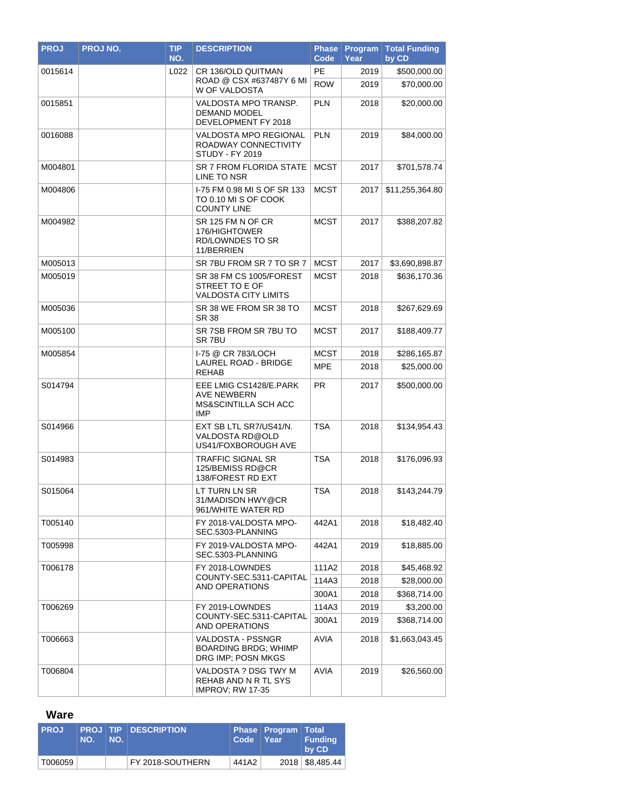| <b>PROJ</b> | PROJ NO. | <b>TIP</b><br>NO. | <b>DESCRIPTION</b>                                                                 | <b>Phase</b><br>Code | Program<br>Year | <b>Total Funding</b><br>by CD |
|-------------|----------|-------------------|------------------------------------------------------------------------------------|----------------------|-----------------|-------------------------------|
| 0015614     |          | L022              | CR 136/OLD QUITMAN                                                                 | <b>PE</b>            | 2019            | \$500,000.00                  |
|             |          |                   | ROAD @ CSX #637487Y 6 MI<br>W OF VALDOSTA                                          | <b>ROW</b>           | 2019            | \$70,000.00                   |
| 0015851     |          |                   | VALDOSTA MPO TRANSP.<br><b>DEMAND MODEL</b><br>DEVELOPMENT FY 2018                 | <b>PLN</b>           | 2018            | \$20,000.00                   |
| 0016088     |          |                   | VALDOSTA MPO REGIONAL<br>ROADWAY CONNECTIVITY<br><b>STUDY - FY 2019</b>            | <b>PLN</b>           | 2019            | \$84,000.00                   |
| M004801     |          |                   | <b>SR 7 FROM FLORIDA STATE</b><br>LINE TO NSR                                      | <b>MCST</b>          | 2017            | \$701,578.74                  |
| M004806     |          |                   | 1-75 FM 0.98 MI S OF SR 133<br>TO 0.10 MI S OF COOK<br><b>COUNTY LINE</b>          | <b>MCST</b>          | 2017            | \$11,255,364.80               |
| M004982     |          |                   | SR 125 FM N OF CR<br>176/HIGHTOWER<br>RD/LOWNDES TO SR<br>11/BERRIEN               | <b>MCST</b>          | 2017            | \$388,207.82                  |
| M005013     |          |                   | SR 7BU FROM SR 7 TO SR 7                                                           | <b>MCST</b>          | 2017            | \$3,690,898.87                |
| M005019     |          |                   | SR 38 FM CS 1005/FOREST<br>STREET TO E OF<br><b>VALDOSTA CITY LIMITS</b>           | <b>MCST</b>          | 2018            | \$636,170.36                  |
| M005036     |          |                   | SR 38 WE FROM SR 38 TO<br>SR 38                                                    | <b>MCST</b>          | 2018            | \$267,629.69                  |
| M005100     |          |                   | SR 7SB FROM SR 7BU TO<br>SR 7BU                                                    | <b>MCST</b>          | 2017            | \$188,409.77                  |
| M005854     |          |                   | I-75 @ CR 783/LOCH                                                                 | <b>MCST</b>          | 2018            | \$286,165.87                  |
|             |          |                   | LAUREL ROAD - BRIDGE<br><b>REHAB</b>                                               | <b>MPE</b>           | 2018            | \$25,000.00                   |
| S014794     |          |                   | EEE LMIG CS1428/E.PARK<br><b>AVE NEWBERN</b><br>MS&SCINTILLA SCH ACC<br><b>IMP</b> | <b>PR</b>            | 2017            | \$500,000.00                  |
| S014966     |          |                   | EXT SB LTL SR7/US41/N.<br>VALDOSTA RD@OLD<br>US41/FOXBOROUGH AVE                   | <b>TSA</b>           | 2018            | \$134,954.43                  |
| S014983     |          |                   | TRAFFIC SIGNAL SR<br>125/BEMISS RD@CR<br>138/FOREST RD EXT                         | <b>TSA</b>           | 2018            | \$176,096.93                  |
| S015064     |          |                   | LT TURN LN SR<br>31/MADISON HWY@CR<br>961/WHITE WATER RD                           | <b>TSA</b>           | 2018            | \$143,244.79                  |
| T005140     |          |                   | FY 2018-VALDOSTA MPO-<br>SEC.5303-PLANNING                                         | 442A1                | 2018            | \$18,482.40                   |
| T005998     |          |                   | FY 2019-VALDOSTA MPO-<br>SEC.5303-PLANNING                                         | 442A1                | 2019            | \$18,885.00                   |
| T006178     |          |                   | FY 2018-LOWNDES                                                                    | 111A2                | 2018            | \$45,468.92                   |
|             |          |                   | COUNTY-SEC.5311-CAPITAL                                                            | 114A3                | 2018            | \$28,000.00                   |
|             |          |                   | AND OPERATIONS                                                                     | 300A1                | 2018            | \$368,714.00                  |
| T006269     |          |                   | FY 2019-LOWNDES                                                                    | 114A3                | 2019            | \$3,200.00                    |
|             |          |                   | COUNTY-SEC.5311-CAPITAL<br>AND OPERATIONS                                          | 300A1                | 2019            | \$368,714.00                  |
| T006663     |          |                   | VALDOSTA - PSSNGR<br><b>BOARDING BRDG: WHIMP</b><br>DRG IMP; POSN MKGS             | AVIA                 | 2018            | \$1,663,043.45                |
| T006804     |          |                   | VALDOSTA ? DSG TWY M<br>REHAB AND N R TL SYS<br><b>IMPROV; RW 17-35</b>            | AVIA                 | 2019            | \$26,560.00                   |

### **Ware**

| <b>PROJ</b> | NO. | I NO. | <b>PROJ TIP DESCRIPTION</b> | Code Year | Phase Program Total | <b>Funding</b><br>by CD |
|-------------|-----|-------|-----------------------------|-----------|---------------------|-------------------------|
| T006059     |     |       | FY 2018-SOUTHERN            | 441A2     |                     | 2018   \$8,485.44       |